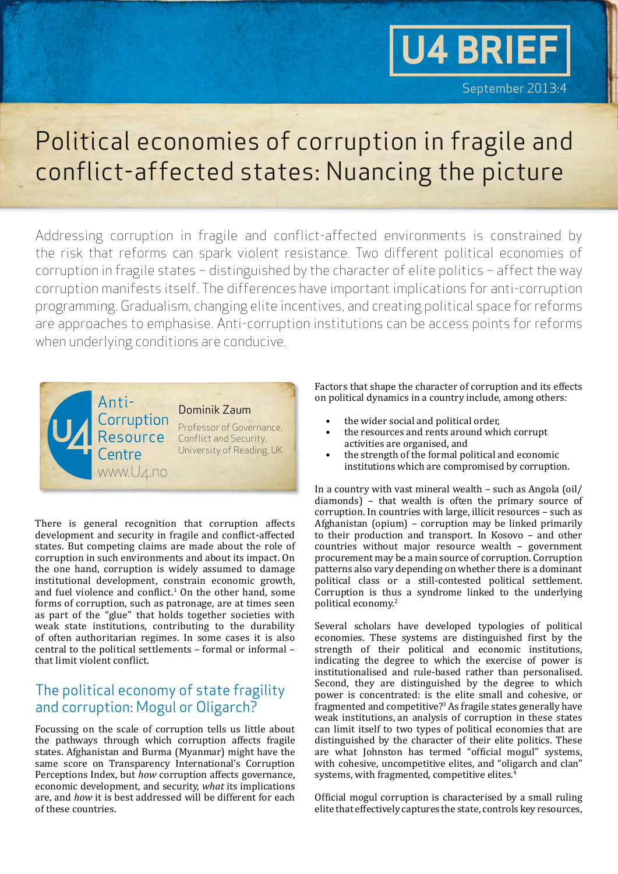# **U4 BRIEF**

### Political economies of corruption in fragile and conflict-affected states: Nuancing the picture

Addressing corruption in fragile and conflict-affected environments is constrained by the risk that reforms can spark violent resistance. Two different political economies of corruption in fragile states – distinguished by the character of elite politics – affect the way corruption manifests itself. The differences have important implications for anti-corruption programming. Gradualism, changing elite incentives, and creating political space for reforms are approaches to emphasise. Anti-corruption institutions can be access points for reforms when underlying conditions are conducive.



There is general recognition that corruption affects development and security in fragile and conflict-affected states. But competing claims are made about the role of corruption in such environments and about its impact. On the one hand, corruption is widely assumed to damage institutional development, constrain economic growth, and fuel violence and conflict. $1$  On the other hand, some forms of corruption, such as patronage, are at times seen as part of the "glue" that holds together societies with weak state institutions, contributing to the durability of often authoritarian regimes. In some cases it is also central to the political settlements – formal or informal – that limit violent conflict.

#### The political economy of state fragility and corruption: Mogul or Oligarch?

Focussing on the scale of corruption tells us little about the pathways through which corruption affects fragile states. Afghanistan and Burma (Myanmar) might have the same score on Transparency International's Corruption Perceptions Index, but *how* corruption affects governance, economic development, and security, *what* its implications are, and *how* it is best addressed will be different for each of these countries.

Factors that shape the character of corruption and its effects on political dynamics in a country include, among others:

- the wider social and political order,
- the resources and rents around which corrupt activities are organised, and
- the strength of the formal political and economic institutions which are compromised by corruption.

In a country with vast mineral wealth – such as Angola (oil/ diamonds) – that wealth is often the primary source of corruption. In countries with large, illicit resources – such as Afghanistan (opium) – corruption may be linked primarily to their production and transport. In Kosovo – and other countries without major resource wealth – government procurement may be a main source of corruption. Corruption patterns also vary depending on whether there is a dominant political class or a still-contested political settlement. Corruption is thus a syndrome linked to the underlying political economy.<sup>2</sup>

Several scholars have developed typologies of political economies. These systems are distinguished first by the strength of their political and economic institutions, indicating the degree to which the exercise of power is institutionalised and rule-based rather than personalised. Second, they are distinguished by the degree to which power is concentrated: is the elite small and cohesive, or fragmented and competitive?<sup>3</sup> As fragile states generally have weak institutions, an analysis of corruption in these states can limit itself to two types of political economies that are distinguished by the character of their elite politics. These are what Johnston has termed "official mogul" systems, with cohesive, uncompetitive elites, and "oligarch and clan" systems, with fragmented, competitive elites.4

Official mogul corruption is characterised by a small ruling elite that effectively captures the state, controls key resources,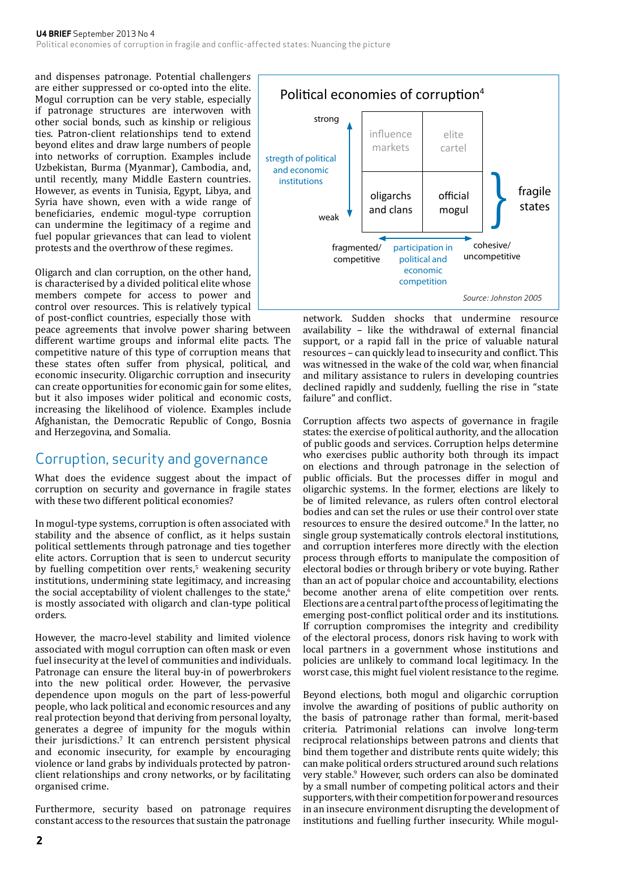and dispenses patronage. Potential challengers are either suppressed or co-opted into the elite. Mogul corruption can be very stable, especially if patronage structures are interwoven with other social bonds, such as kinship or religious ties. Patron-client relationships tend to extend beyond elites and draw large numbers of people into networks of corruption. Examples include Uzbekistan, Burma (Myanmar), Cambodia, and, until recently, many Middle Eastern countries. However, as events in Tunisia, Egypt, Libya, and Syria have shown, even with a wide range of beneficiaries, endemic mogul-type corruption can undermine the legitimacy of a regime and fuel popular grievances that can lead to violent protests and the overthrow of these regimes.

Oligarch and clan corruption, on the other hand, is characterised by a divided political elite whose members compete for access to power and control over resources. This is relatively typical of post-conflict countries, especially those with

peace agreements that involve power sharing between different wartime groups and informal elite pacts. The competitive nature of this type of corruption means that these states often suffer from physical, political, and economic insecurity. Oligarchic corruption and insecurity can create opportunities for economic gain for some elites, but it also imposes wider political and economic costs, increasing the likelihood of violence. Examples include Afghanistan, the Democratic Republic of Congo, Bosnia and Herzegovina, and Somalia.

#### Corruption, security and governance

What does the evidence suggest about the impact of corruption on security and governance in fragile states with these two different political economies?

In mogul-type systems, corruption is often associated with stability and the absence of conflict, as it helps sustain political settlements through patronage and ties together elite actors. Corruption that is seen to undercut security by fuelling competition over rents,<sup>5</sup> weakening security institutions, undermining state legitimacy, and increasing the social acceptability of violent challenges to the state,<sup>6</sup> is mostly associated with oligarch and clan-type political orders.

However, the macro-level stability and limited violence associated with mogul corruption can often mask or even fuel insecurity at the level of communities and individuals. Patronage can ensure the literal buy-in of powerbrokers into the new political order. However, the pervasive dependence upon moguls on the part of less-powerful people, who lack political and economic resources and any real protection beyond that deriving from personal loyalty, generates a degree of impunity for the moguls within their jurisdictions.7 It can entrench persistent physical and economic insecurity, for example by encouraging violence or land grabs by individuals protected by patronclient relationships and crony networks, or by facilitating organised crime.

Furthermore, security based on patronage requires constant access to the resources that sustain the patronage



network. Sudden shocks that undermine resource availability – like the withdrawal of external financial support, or a rapid fall in the price of valuable natural resources – can quickly lead to insecurity and conflict. This was witnessed in the wake of the cold war, when financial and military assistance to rulers in developing countries declined rapidly and suddenly, fuelling the rise in "state failure" and conflict.

Corruption affects two aspects of governance in fragile states: the exercise of political authority, and the allocation of public goods and services. Corruption helps determine who exercises public authority both through its impact on elections and through patronage in the selection of public officials. But the processes differ in mogul and oligarchic systems. In the former, elections are likely to be of limited relevance, as rulers often control electoral bodies and can set the rules or use their control over state resources to ensure the desired outcome.8 In the latter, no single group systematically controls electoral institutions, and corruption interferes more directly with the election process through efforts to manipulate the composition of electoral bodies or through bribery or vote buying. Rather than an act of popular choice and accountability, elections become another arena of elite competition over rents. Elections are a central part of the process of legitimating the emerging post-conflict political order and its institutions. If corruption compromises the integrity and credibility of the electoral process, donors risk having to work with local partners in a government whose institutions and policies are unlikely to command local legitimacy. In the worst case, this might fuel violent resistance to the regime.

Beyond elections, both mogul and oligarchic corruption involve the awarding of positions of public authority on the basis of patronage rather than formal, merit-based criteria. Patrimonial relations can involve long-term reciprocal relationships between patrons and clients that bind them together and distribute rents quite widely; this can make political orders structured around such relations very stable.<sup>9</sup> However, such orders can also be dominated by a small number of competing political actors and their supporters, with their competition for power and resources in an insecure environment disrupting the development of institutions and fuelling further insecurity. While mogul-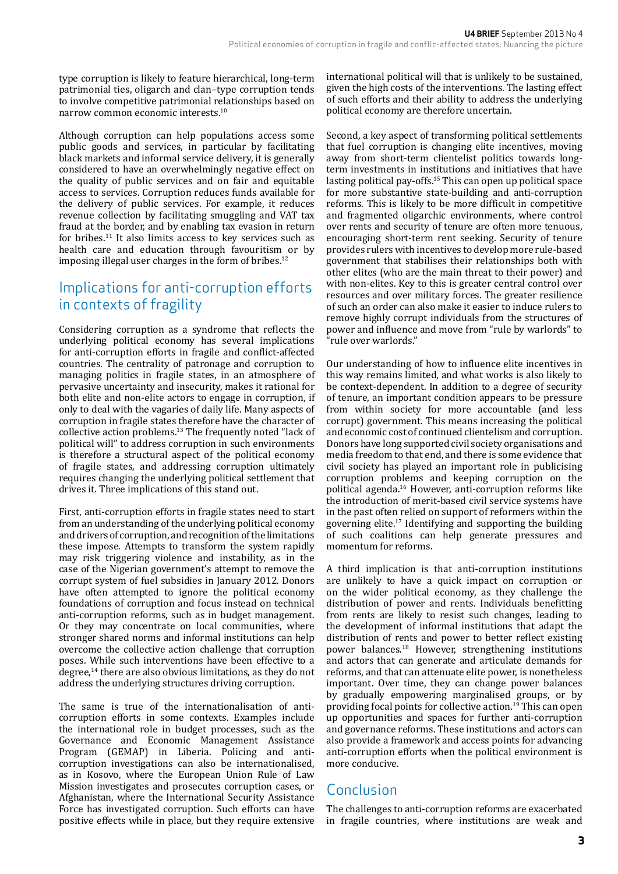type corruption is likely to feature hierarchical, long-term patrimonial ties, oligarch and clan–type corruption tends to involve competitive patrimonial relationships based on narrow common economic interests.10

Although corruption can help populations access some public goods and services, in particular by facilitating black markets and informal service delivery, it is generally considered to have an overwhelmingly negative effect on the quality of public services and on fair and equitable access to services. Corruption reduces funds available for the delivery of public services. For example, it reduces revenue collection by facilitating smuggling and VAT tax fraud at the border, and by enabling tax evasion in return for bribes.11 It also limits access to key services such as health care and education through favouritism or by imposing illegal user charges in the form of bribes.12

#### Implications for anti-corruption efforts in contexts of fragility

Considering corruption as a syndrome that reflects the underlying political economy has several implications for anti-corruption efforts in fragile and conflict-affected countries. The centrality of patronage and corruption to managing politics in fragile states, in an atmosphere of pervasive uncertainty and insecurity, makes it rational for both elite and non-elite actors to engage in corruption, if only to deal with the vagaries of daily life. Many aspects of corruption in fragile states therefore have the character of collective action problems.13 The frequently noted "lack of political will" to address corruption in such environments is therefore a structural aspect of the political economy of fragile states, and addressing corruption ultimately requires changing the underlying political settlement that drives it. Three implications of this stand out.

First, anti-corruption efforts in fragile states need to start from an understanding of the underlying political economy and drivers of corruption, and recognition of the limitations these impose. Attempts to transform the system rapidly may risk triggering violence and instability, as in the case of the Nigerian government's attempt to remove the corrupt system of fuel subsidies in January 2012. Donors have often attempted to ignore the political economy foundations of corruption and focus instead on technical anti-corruption reforms, such as in budget management. Or they may concentrate on local communities, where stronger shared norms and informal institutions can help overcome the collective action challenge that corruption poses. While such interventions have been effective to a degree,14 there are also obvious limitations, as they do not address the underlying structures driving corruption.

The same is true of the internationalisation of anticorruption efforts in some contexts. Examples include the international role in budget processes, such as the Governance and Economic Management Assistance Program (GEMAP) in Liberia. Policing and anticorruption investigations can also be internationalised, as in Kosovo, where the European Union Rule of Law Mission investigates and prosecutes corruption cases, or Afghanistan, where the International Security Assistance Force has investigated corruption. Such efforts can have positive effects while in place, but they require extensive

international political will that is unlikely to be sustained, given the high costs of the interventions. The lasting effect of such efforts and their ability to address the underlying political economy are therefore uncertain.

Second, a key aspect of transforming political settlements that fuel corruption is changing elite incentives, moving away from short-term clientelist politics towards longterm investments in institutions and initiatives that have lasting political pay-offs.<sup>15</sup> This can open up political space for more substantive state-building and anti-corruption reforms. This is likely to be more difficult in competitive and fragmented oligarchic environments, where control over rents and security of tenure are often more tenuous, encouraging short-term rent seeking. Security of tenure provides rulers with incentives to develop more rule-based government that stabilises their relationships both with other elites (who are the main threat to their power) and with non-elites. Key to this is greater central control over resources and over military forces. The greater resilience of such an order can also make it easier to induce rulers to remove highly corrupt individuals from the structures of power and influence and move from "rule by warlords" to "rule over warlords."

Our understanding of how to influence elite incentives in this way remains limited, and what works is also likely to be context-dependent. In addition to a degree of security of tenure, an important condition appears to be pressure from within society for more accountable (and less corrupt) government. This means increasing the political and economic cost of continued clientelism and corruption. Donors have long supported civil society organisations and media freedom to that end, and there is some evidence that civil society has played an important role in publicising corruption problems and keeping corruption on the political agenda.16 However, anti-corruption reforms like the introduction of merit-based civil service systems have in the past often relied on support of reformers within the governing elite.17 Identifying and supporting the building of such coalitions can help generate pressures and momentum for reforms.

A third implication is that anti-corruption institutions are unlikely to have a quick impact on corruption or on the wider political economy, as they challenge the distribution of power and rents. Individuals benefitting from rents are likely to resist such changes, leading to the development of informal institutions that adapt the distribution of rents and power to better reflect existing power balances.18 However, strengthening institutions and actors that can generate and articulate demands for reforms, and that can attenuate elite power, is nonetheless important. Over time, they can change power balances by gradually empowering marginalised groups, or by providing focal points for collective action.19 This can open up opportunities and spaces for further anti-corruption and governance reforms. These institutions and actors can also provide a framework and access points for advancing anti-corruption efforts when the political environment is more conducive.

#### Conclusion

The challenges to anti-corruption reforms are exacerbated in fragile countries, where institutions are weak and